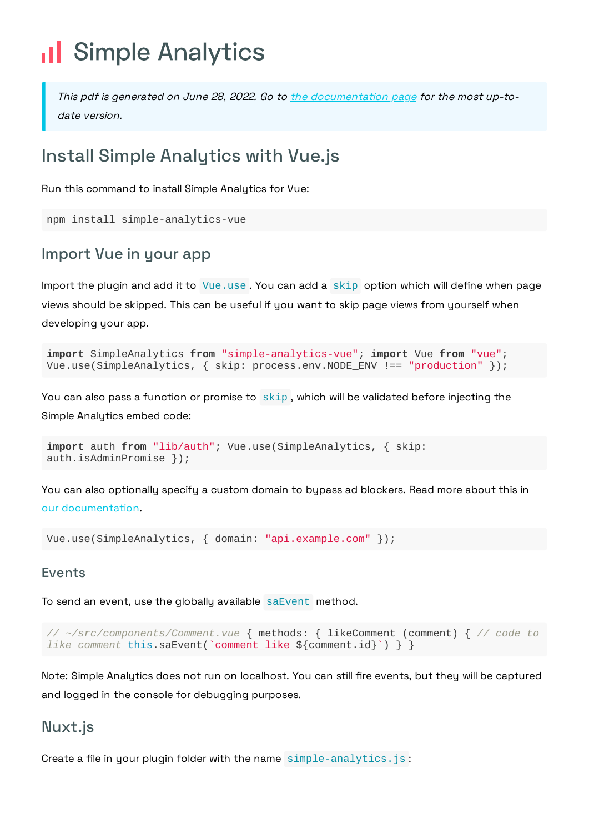# Il Simple Analytics

This pdf is generated on June 28, 2022. Go to the [documentation](https://docs.simpleanalytics.com/install-simple-analytics-with-vue?ref=pdf) page for the most up-todate version.

## Install Simple Analytics with Vue.js

Run this command to install Simple Analytics for Vue:

```
npm install simple-analytics-vue
```
## Import Vue in your app

Import the plugin and add it to Vue.use . You can add a skip option which will define when page views should be skipped. This can be useful if you want to skip page views from yourself when developing your app.

```
import SimpleAnalytics from "simple-analytics-vue"; import Vue from "vue";
Vue.use(SimpleAnalytics, { skip: process.env.NODE_ENV !== "production" });
```
You can also pass a function or promise to skip , which will be validated before injecting the Simple Analytics embed code:

```
import auth from "lib/auth"; Vue.use(SimpleAnalytics, { skip:
auth.isAdminPromise });
```
You can also optionally specify a custom domain to bypass ad blockers. Read more about this in our [documentation](https://docs.simpleanalytics.com/bypass-ad-blockers).

Vue.use(SimpleAnalytics, { domain: "api.example.com" });

#### Events

To send an event, use the globally available saEvent method.

```
// ~/src/components/Comment.vue { methods: { likeComment (comment) { // code to
like comment this.saEvent(`comment_like_${comment.id}`) } }
```
Note: Simple Analytics does not run on localhost. You can still fire events, but they will be captured and logged in the console for debugging purposes.

### Nuxt.js

Create a file in your plugin folder with the name simple-analytics.js: